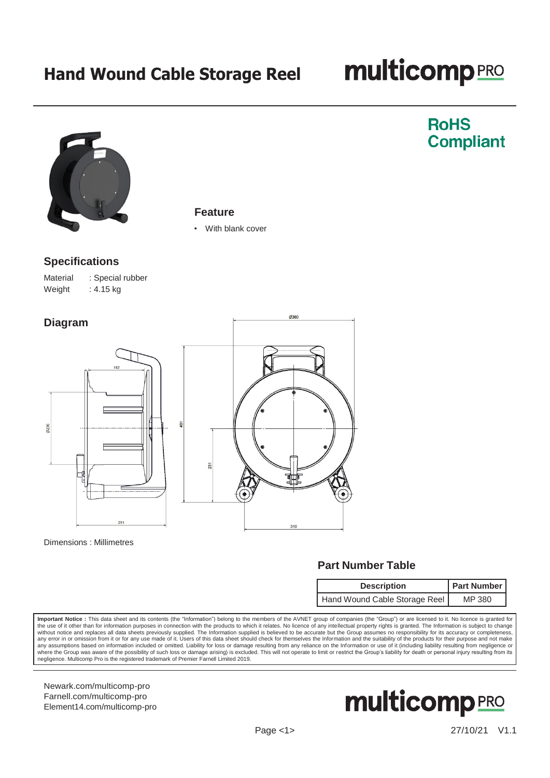# **multicomp**<sub>PRO</sub>

**RoHS** 

**Compliant** 



#### **Feature**

With blank cover

Ø380

### **Specifications**

Material : Special rubber Weight  $: 4.15$  kg





#### Dimensions : Millimetres

## **Part Number Table**

| <b>Description</b>            | <b>Part Number</b> |  |
|-------------------------------|--------------------|--|
| Hand Wound Cable Storage Reel | MP 380             |  |

**Important Notice :** This data sheet and its contents (the "Information") belong to the members of the AVNET group of companies (the "Group") or are licensed to it. No licence is granted for<br>the use of it other than for in any error in or omission from it or for any use made of it. Users of this data sheet should check for themselves the Information and the suitability of the products for their purpose and not make any assumptions based on information included or omitted. Liability for loss or damage resulting from any reliance on the Information or use of it (including liability resulting from negligence or any assumptions based on where the Group was aware of the possibility of such loss or damage arising) is excluded. This will not operate to limit or restrict the Group's liability for death or personal injury resulting from its<br>negligence. Multico

[Newark.com/multicomp-](https://www.newark.com/multicomp-pro)pro [Farnell.com/multicomp-](https://www.farnell.com/multicomp-pro)pro [Element14.com/multicomp-pro](https://element14.com/multicomp-pro)